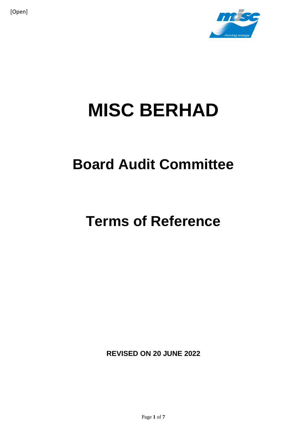

# **MISC BERHAD**

# **Board Audit Committee**

# **Terms of Reference**

**REVISED ON 20 JUNE 2022**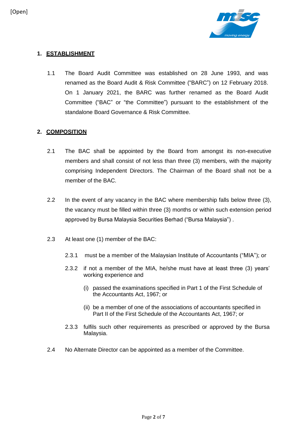

# **1. ESTABLISHMENT**

1.1 The Board Audit Committee was established on 28 June 1993, and was renamed as the Board Audit & Risk Committee ("BARC") on 12 February 2018. On 1 January 2021, the BARC was further renamed as the Board Audit Committee ("BAC" or "the Committee") pursuant to the establishment of the standalone Board Governance & Risk Committee.

# **2. COMPOSITION**

- 2.1 The BAC shall be appointed by the Board from amongst its non-executive members and shall consist of not less than three (3) members, with the majority comprising Independent Directors. The Chairman of the Board shall not be a member of the BAC.
- 2.2 In the event of any vacancy in the BAC where membership falls below three (3), the vacancy must be filled within three (3) months or within such extension period approved by Bursa Malaysia Securities Berhad ("Bursa Malaysia") .
- 2.3 At least one (1) member of the BAC:
	- 2.3.1 must be a member of the Malaysian Institute of Accountants ("MIA"); or
	- 2.3.2 if not a member of the MIA, he/she must have at least three (3) years' working experience and
		- (i) passed the examinations specified in Part 1 of the First Schedule of the Accountants Act, 1967; or
		- (ii) be a member of one of the associations of accountants specified in Part II of the First Schedule of the Accountants Act, 1967; or
	- 2.3.3 fulfils such other requirements as prescribed or approved by the Bursa Malaysia.
- 2.4 No Alternate Director can be appointed as a member of the Committee.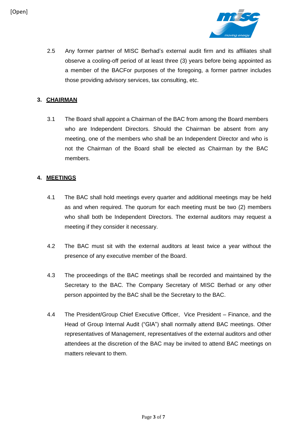

2.5 Any former partner of MISC Berhad's external audit firm and its affiliates shall observe a cooling-off period of at least three (3) years before being appointed as a member of the BACFor purposes of the foregoing, a former partner includes those providing advisory services, tax consulting, etc.

# **3. CHAIRMAN**

3.1 The Board shall appoint a Chairman of the BAC from among the Board members who are Independent Directors. Should the Chairman be absent from any meeting, one of the members who shall be an Independent Director and who is not the Chairman of the Board shall be elected as Chairman by the BAC members.

# **4. MEETINGS**

- 4.1 The BAC shall hold meetings every quarter and additional meetings may be held as and when required. The quorum for each meeting must be two (2) members who shall both be Independent Directors. The external auditors may request a meeting if they consider it necessary.
- 4.2 The BAC must sit with the external auditors at least twice a year without the presence of any executive member of the Board.
- 4.3 The proceedings of the BAC meetings shall be recorded and maintained by the Secretary to the BAC. The Company Secretary of MISC Berhad or any other person appointed by the BAC shall be the Secretary to the BAC.
- 4.4 The President/Group Chief Executive Officer, Vice President Finance, and the Head of Group Internal Audit ("GIA") shall normally attend BAC meetings. Other representatives of Management, representatives of the external auditors and other attendees at the discretion of the BAC may be invited to attend BAC meetings on matters relevant to them.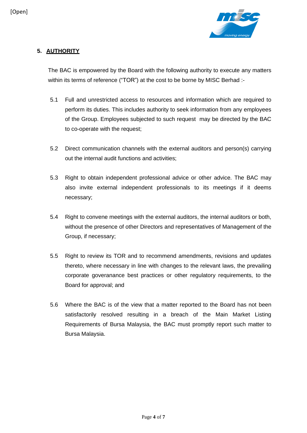

# **5. AUTHORITY**

The BAC is empowered by the Board with the following authority to execute any matters within its terms of reference ("TOR") at the cost to be borne by MISC Berhad :-

- 5.1 Full and unrestricted access to resources and information which are required to perform its duties. This includes authority to seek information from any employees of the Group. Employees subjected to such request may be directed by the BAC to co-operate with the request;
- 5.2 Direct communication channels with the external auditors and person(s) carrying out the internal audit functions and activities;
- 5.3 Right to obtain independent professional advice or other advice. The BAC may also invite external independent professionals to its meetings if it deems necessary;
- 5.4 Right to convene meetings with the external auditors, the internal auditors or both, without the presence of other Directors and representatives of Management of the Group, if necessary;
- 5.5 Right to review its TOR and to recommend amendments, revisions and updates thereto, where necessary in line with changes to the relevant laws, the prevailing corporate goveranance best practices or other regulatory requirements, to the Board for approval; and
- 5.6 Where the BAC is of the view that a matter reported to the Board has not been satisfactorily resolved resulting in a breach of the Main Market Listing Requirements of Bursa Malaysia, the BAC must promptly report such matter to Bursa Malaysia.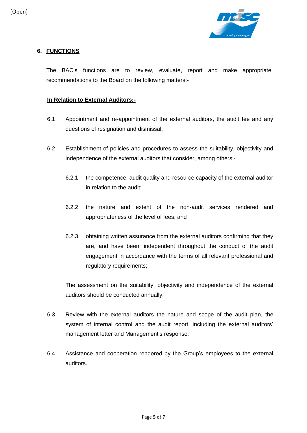

# **6. FUNCTIONS**

The BAC's functions are to review, evaluate, report and make appropriate recommendations to the Board on the following matters:-

### **In Relation to External Auditors:-**

- 6.1 Appointment and re-appointment of the external auditors, the audit fee and any questions of resignation and dismissal;
- 6.2 Establishment of policies and procedures to assess the suitability, objectivity and independence of the external auditors that consider, among others:-
	- 6.2.1 the competence, audit quality and resource capacity of the external auditor in relation to the audit;
	- 6.2.2 the nature and extent of the non-audit services rendered and appropriateness of the level of fees; and
	- 6.2.3 obtaining written assurance from the external auditors confirming that they are, and have been, independent throughout the conduct of the audit engagement in accordance with the terms of all relevant professional and regulatory requirements;

The assessment on the suitability, objectivity and independence of the external auditors should be conducted annually.

- 6.3 Review with the external auditors the nature and scope of the audit plan, the system of internal control and the audit report, including the external auditors' management letter and Management's response;
- 6.4 Assistance and cooperation rendered by the Group's employees to the external auditors.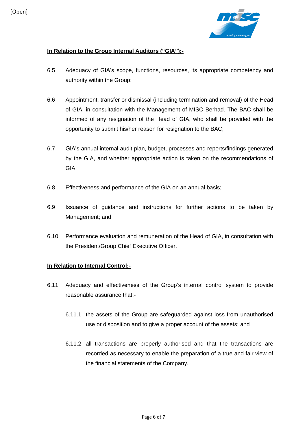

# **In Relation to the Group Internal Auditors ("GIA"):-**

- 6.5 Adequacy of GIA's scope, functions, resources, its appropriate competency and authority within the Group;
- 6.6 Appointment, transfer or dismissal (including termination and removal) of the Head of GIA, in consultation with the Management of MISC Berhad. The BAC shall be informed of any resignation of the Head of GIA, who shall be provided with the opportunity to submit his/her reason for resignation to the BAC;
- 6.7 GIA's annual internal audit plan, budget, processes and reports/findings generated by the GIA, and whether appropriate action is taken on the recommendations of GIA;
- 6.8 Effectiveness and performance of the GIA on an annual basis;
- 6.9 Issuance of guidance and instructions for further actions to be taken by Management; and
- 6.10 Performance evaluation and remuneration of the Head of GIA, in consultation with the President/Group Chief Executive Officer.

# **In Relation to Internal Control:-**

- 6.11 Adequacy and effectiveness of the Group's internal control system to provide reasonable assurance that:-
	- 6.11.1 the assets of the Group are safeguarded against loss from unauthorised use or disposition and to give a proper account of the assets; and
	- 6.11.2 all transactions are properly authorised and that the transactions are recorded as necessary to enable the preparation of a true and fair view of the financial statements of the Company.